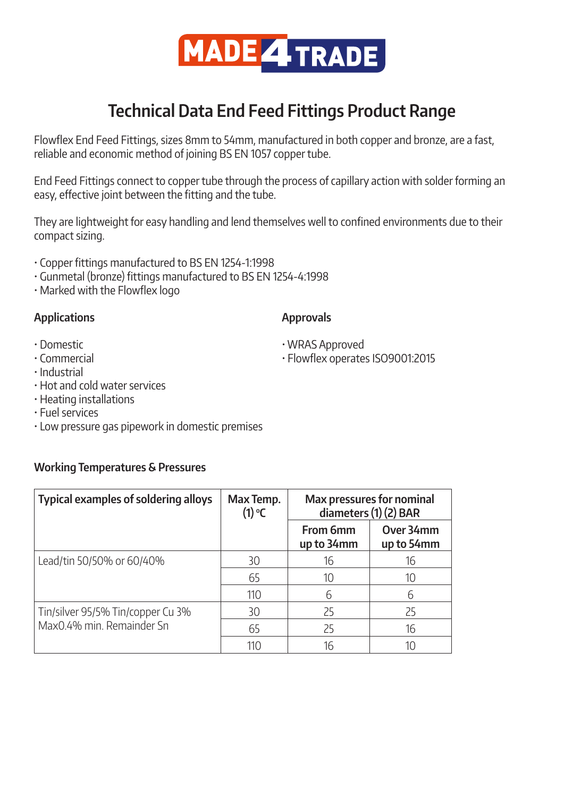

# **Technical Data End Feed Fittings Product Range**

Flowflex End Feed Fittings, sizes 8mm to 54mm, manufactured in both copper and bronze, are a fast, reliable and economic method of joining BS EN 1057 copper tube.

End Feed Fittings connect to copper tube through the process of capillary action with solder forming an easy, effective joint between the fitting and the tube.

They are lightweight for easy handling and lend themselves well to confined environments due to their compact sizing.

- Copper fittings manufactured to BS EN 1254-1:1998
- Gunmetal (bronze) fittings manufactured to BS EN 1254-4:1998
- Marked with the Flowflex logo

# **Applications**

# **Approvals**

- Domestic
- Commercial
- Industrial
- Hot and cold water services
- Heating installations
- Fuel services
- Low pressure gas pipework in domestic premises

# **Working Temperatures & Pressures**

| <b>Typical examples of soldering alloys</b>                    | Max Temp.<br>$(1)$ °C | <b>Max pressures for nominal</b><br>diameters (1) (2) BAR |                         |
|----------------------------------------------------------------|-----------------------|-----------------------------------------------------------|-------------------------|
|                                                                |                       | From 6mm<br>up to 34mm                                    | Over 34mm<br>up to 54mm |
| Lead/tin 50/50% or 60/40%                                      | 30                    | 16                                                        | 16                      |
|                                                                | 65                    | 10                                                        | 10                      |
|                                                                | 110                   | 6                                                         | 6                       |
| Tin/silver 95/5% Tin/copper Cu 3%<br>Max0.4% min. Remainder Sn | 30                    | 25                                                        | 25                      |
|                                                                | 65                    | 25                                                        | 16                      |
|                                                                | 110                   | 16                                                        |                         |

- WRAS Approved
- Flowflex operates ISO9001:2015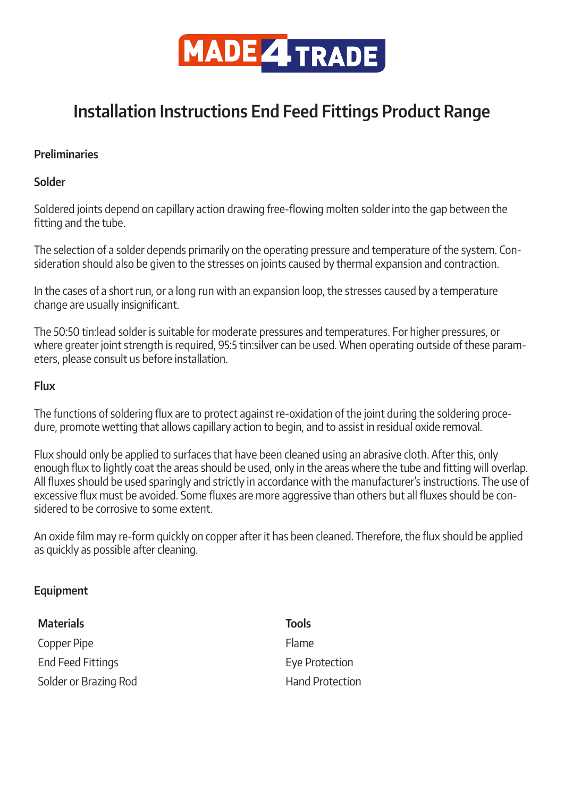

# **Installation Instructions End Feed Fittings Product Range**

#### **Preliminaries**

#### **Solder**

Soldered joints depend on capillary action drawing free-flowing molten solder into the gap between the fitting and the tube.

The selection of a solder depends primarily on the operating pressure and temperature of the system. Consideration should also be given to the stresses on joints caused by thermal expansion and contraction.

In the cases of a short run, or a long run with an expansion loop, the stresses caused by a temperature change are usually insignificant.

The 50:50 tin:lead solder is suitable for moderate pressures and temperatures. For higher pressures, or where greater joint strength is required, 95:5 tin:silver can be used. When operating outside of these parameters, please consult us before installation.

#### **Flux**

The functions of soldering flux are to protect against re-oxidation of the joint during the soldering procedure, promote wetting that allows capillary action to begin, and to assist in residual oxide removal.

Flux should only be applied to surfaces that have been cleaned using an abrasive cloth. After this, only enough flux to lightly coat the areas should be used, only in the areas where the tube and fitting will overlap. All fluxes should be used sparingly and strictly in accordance with the manufacturer's instructions. The use of excessive flux must be avoided. Some fluxes are more aggressive than others but all fluxes should be considered to be corrosive to some extent.

An oxide film may re-form quickly on copper after it has been cleaned. Therefore, the flux should be applied as quickly as possible after cleaning.

# **Equipment**

| <b>Materials</b>      | <b>Tools</b>           |
|-----------------------|------------------------|
| Copper Pipe           | Flame                  |
| End Feed Fittings     | Eye Protection         |
| Solder or Brazing Rod | <b>Hand Protection</b> |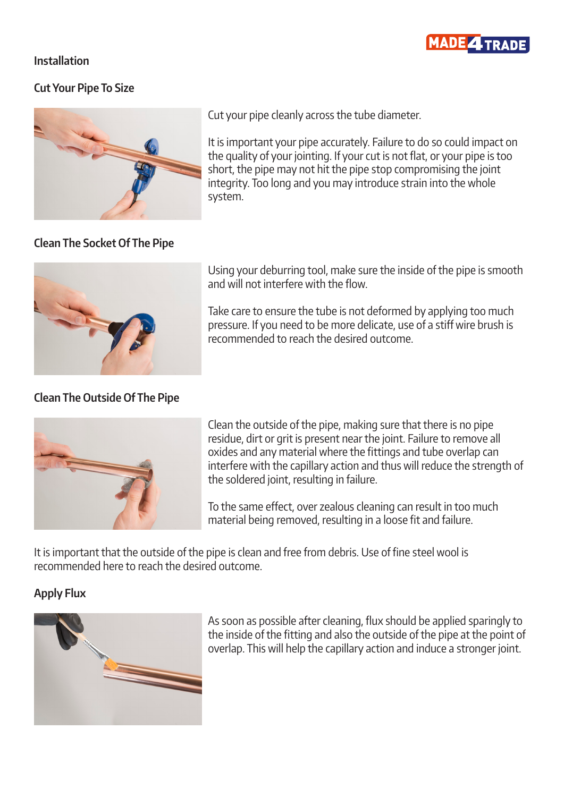

#### **Installation**

# **Cut Your Pipe To Size**



**Clean The Socket Of The Pipe**

Cut your pipe cleanly across the tube diameter.

It is important your pipe accurately. Failure to do so could impact on the quality of your jointing. If your cut is not flat, or your pipe is too short, the pipe may not hit the pipe stop compromising the joint integrity. Too long and you may introduce strain into the whole system.



Using your deburring tool, make sure the inside of the pipe is smooth and will not interfere with the flow.

Take care to ensure the tube is not deformed by applying too much pressure. If you need to be more delicate, use of a stiff wire brush is recommended to reach the desired outcome.

#### **Clean The Outside Of The Pipe**



Clean the outside of the pipe, making sure that there is no pipe residue, dirt or grit is present near the joint. Failure to remove all oxides and any material where the fittings and tube overlap can interfere with the capillary action and thus will reduce the strength of the soldered joint, resulting in failure.

To the same effect, over zealous cleaning can result in too much material being removed, resulting in a loose fit and failure.

It is important that the outside of the pipe is clean and free from debris. Use of fine steel wool is recommended here to reach the desired outcome.

# **Apply Flux**



As soon as possible after cleaning, flux should be applied sparingly to the inside of the fitting and also the outside of the pipe at the point of overlap. This will help the capillary action and induce a stronger joint.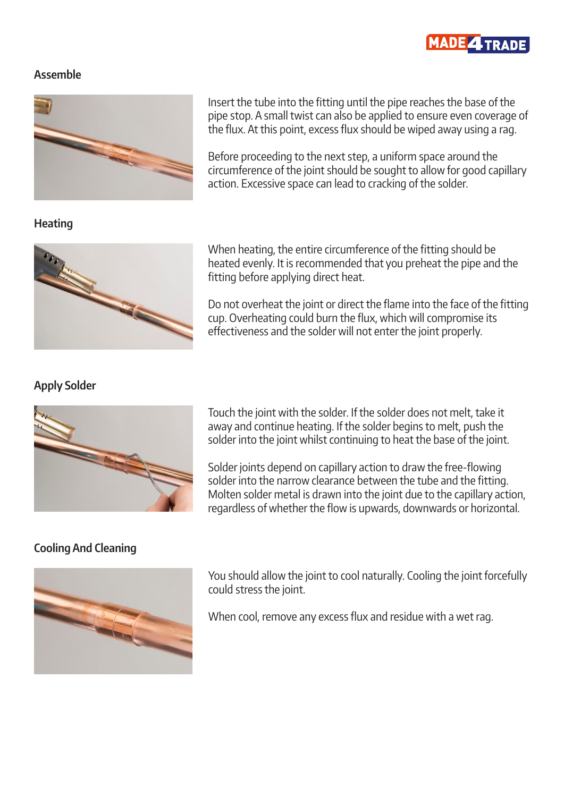

#### **Assemble**



**Heating**



**Apply Solder**



# heated evenly. It is recommended that you preheat the pipe and the fitting before applying direct heat.

When heating, the entire circumference of the fitting should be

Insert the tube into the fitting until the pipe reaches the base of the pipe stop. A small twist can also be applied to ensure even coverage of the flux. At this point, excess flux should be wiped away using a rag.

Before proceeding to the next step, a uniform space around the

action. Excessive space can lead to cracking of the solder.

circumference of the joint should be sought to allow for good capillary

Do not overheat the joint or direct the flame into the face of the fitting cup. Overheating could burn the flux, which will compromise its effectiveness and the solder will not enter the joint properly.

**Cooling And Cleaning**



Touch the joint with the solder. If the solder does not melt, take it away and continue heating. If the solder begins to melt, push the solder into the joint whilst continuing to heat the base of the joint.

Solder joints depend on capillary action to draw the free-flowing solder into the narrow clearance between the tube and the fitting. Molten solder metal is drawn into the joint due to the capillary action, regardless of whether the flow is upwards, downwards or horizontal.

You should allow the joint to cool naturally. Cooling the joint forcefully could stress the joint.

When cool, remove any excess flux and residue with a wet rag.